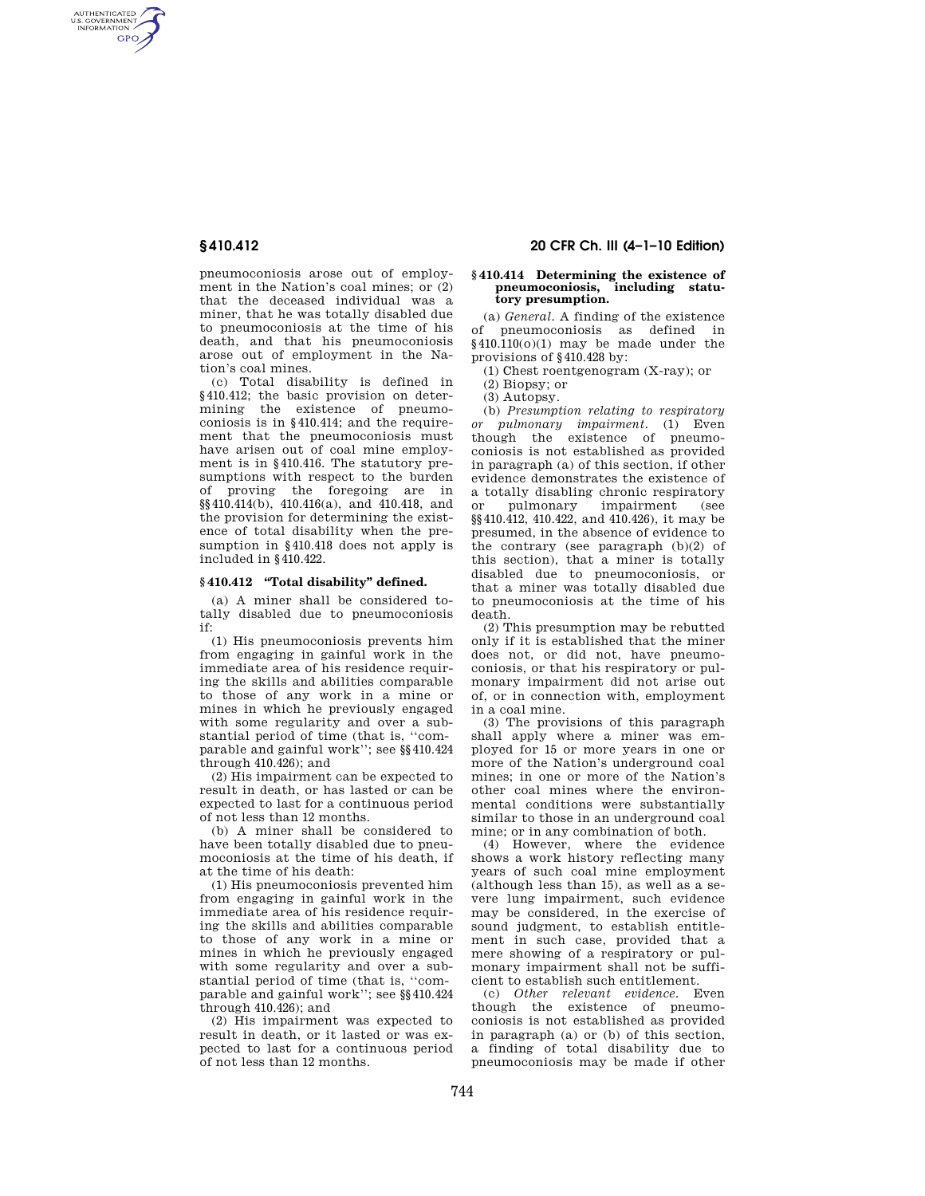AUTHENTICATED<br>U.S. GOVERNMENT<br>INFORMATION **GPO** 

> pneumoconiosis arose out of employment in the Nation's coal mines; or (2) that the deceased individual was a miner, that he was totally disabled due to pneumoconiosis at the time of his death, and that his pneumoconiosis arose out of employment in the Nation's coal mines.

> (c) Total disability is defined in §410.412; the basic provision on determining the existence of pneumoconiosis is in §410.414; and the requirement that the pneumoconiosis must have arisen out of coal mine employment is in §410.416. The statutory presumptions with respect to the burden of proving the foregoing are in §§410.414(b), 410.416(a), and 410.418, and the provision for determining the existence of total disability when the presumption in §410.418 does not apply is included in §410.422.

# **§ 410.412 ''Total disability'' defined.**

(a) A miner shall be considered totally disabled due to pneumoconiosis if:

(1) His pneumoconiosis prevents him from engaging in gainful work in the immediate area of his residence requiring the skills and abilities comparable to those of any work in a mine or mines in which he previously engaged with some regularity and over a substantial period of time (that is, ''comparable and gainful work''; see §§410.424 through 410.426); and

(2) His impairment can be expected to result in death, or has lasted or can be expected to last for a continuous period of not less than 12 months.

(b) A miner shall be considered to have been totally disabled due to pneumoconiosis at the time of his death, if at the time of his death:

(1) His pneumoconiosis prevented him from engaging in gainful work in the immediate area of his residence requiring the skills and abilities comparable to those of any work in a mine or mines in which he previously engaged with some regularity and over a substantial period of time (that is, ''comparable and gainful work''; see §§410.424 through 410.426); and

(2) His impairment was expected to result in death, or it lasted or was expected to last for a continuous period of not less than 12 months.

# **§ 410.412 20 CFR Ch. III (4–1–10 Edition)**

# **§ 410.414 Determining the existence of pneumoconiosis, including statutory presumption.**

(a) *General*. A finding of the existence<br>of pneumoconiosis as defined in pneumoconiosis as defined in  $§410.110(0)(1)$  may be made under the provisions of §410.428 by:

(1) Chest roentgenogram (X-ray); or

(2) Biopsy; or

(3) Autopsy.

(b) *Presumption relating to respiratory or pulmonary impairment.* (1) Even though the existence of pneumoconiosis is not established as provided in paragraph (a) of this section, if other evidence demonstrates the existence of a totally disabling chronic respiratory or pulmonary impairment (see §§410.412, 410.422, and 410.426), it may be presumed, in the absence of evidence to the contrary (see paragraph (b)(2) of this section), that a miner is totally disabled due to pneumoconiosis, or that a miner was totally disabled due to pneumoconiosis at the time of his death.

(2) This presumption may be rebutted only if it is established that the miner does not, or did not, have pneumoconiosis, or that his respiratory or pulmonary impairment did not arise out of, or in connection with, employment in a coal mine.

(3) The provisions of this paragraph shall apply where a miner was employed for 15 or more years in one or more of the Nation's underground coal mines; in one or more of the Nation's other coal mines where the environmental conditions were substantially similar to those in an underground coal mine; or in any combination of both.

(4) However, where the evidence shows a work history reflecting many years of such coal mine employment (although less than 15), as well as a severe lung impairment, such evidence may be considered, in the exercise of sound judgment, to establish entitlement in such case, provided that a mere showing of a respiratory or pulmonary impairment shall not be sufficient to establish such entitlement.

(c) *Other relevant evidence.* Even though the existence of pneumoconiosis is not established as provided in paragraph (a) or (b) of this section, a finding of total disability due to pneumoconiosis may be made if other